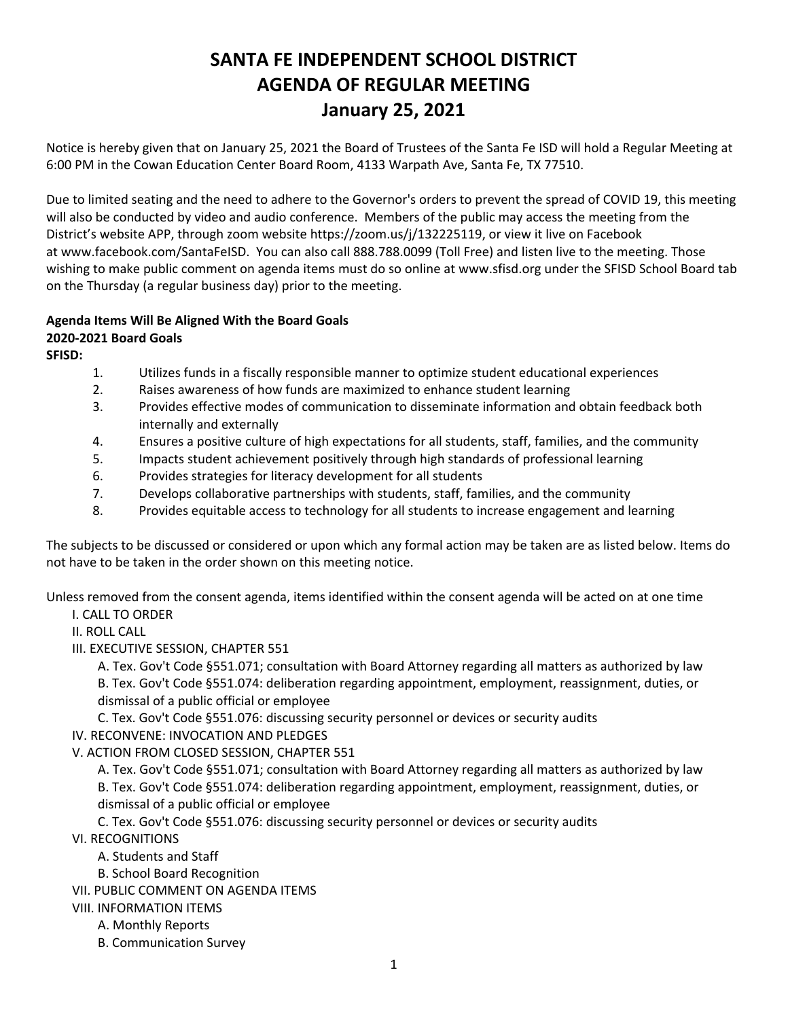## **SANTA FE INDEPENDENT SCHOOL DISTRICT AGENDA OF REGULAR MEETING January 25, 2021**

Notice is hereby given that on January 25, 2021 the Board of Trustees of the Santa Fe ISD will hold a Regular Meeting at 6:00 PM in the Cowan Education Center Board Room, 4133 Warpath Ave, Santa Fe, TX 77510.

Due to limited seating and the need to adhere to the Governor's orders to prevent the spread of COVID 19, this meeting will also be conducted by video and audio conference. Members of the public may access the meeting from the District's website APP, through zoom website [https://zoom.us/j/132225119,](https://zoom.us/j/132225119) or view it live on Facebook at [www.facebook.com/SantaFeISD](http://www.facebook.com/SantaFeISD). You can also call 888.788.0099 (Toll Free) and listen live to the meeting. Those wishing to make public comment on agenda items must do so online at www.sfisd.org under the SFISD School Board tab on the Thursday (a regular business day) prior to the meeting.

## **Agenda Items Will Be Aligned With the Board Goals**

## **2020-2021 Board Goals**

**SFISD:** 

- 1. Utilizes funds in a fiscally responsible manner to optimize student educational experiences
- 2. Raises awareness of how funds are maximized to enhance student learning
- 3. Provides effective modes of communication to disseminate information and obtain feedback both internally and externally
- 4. Ensures a positive culture of high expectations for all students, staff, families, and the community
- 5. Impacts student achievement positively through high standards of professional learning
- 6. Provides strategies for literacy development for all students
- 7. Develops collaborative partnerships with students, staff, families, and the community
- 8. Provides equitable access to technology for all students to increase engagement and learning

The subjects to be discussed or considered or upon which any formal action may be taken are as listed below. Items do not have to be taken in the order shown on this meeting notice.

Unless removed from the consent agenda, items identified within the consent agenda will be acted on at one time

I. CALL TO ORDER

II. ROLL CALL

III. EXECUTIVE SESSION, CHAPTER 551

A. Tex. Gov't Code §551.071; consultation with Board Attorney regarding all matters as authorized by law B. Tex. Gov't Code §551.074: deliberation regarding appointment, employment, reassignment, duties, or dismissal of a public official or employee

C. Tex. Gov't Code §551.076: discussing security personnel or devices or security audits

IV. RECONVENE: INVOCATION AND PLEDGES

V. ACTION FROM CLOSED SESSION, CHAPTER 551

A. Tex. Gov't Code §551.071; consultation with Board Attorney regarding all matters as authorized by law B. Tex. Gov't Code §551.074: deliberation regarding appointment, employment, reassignment, duties, or dismissal of a public official or employee

C. Tex. Gov't Code §551.076: discussing security personnel or devices or security audits

- VI. RECOGNITIONS
	- A. Students and Staff
	- B. School Board Recognition
- VII. PUBLIC COMMENT ON AGENDA ITEMS
- VIII. INFORMATION ITEMS
	- A. Monthly Reports
		- B. Communication Survey